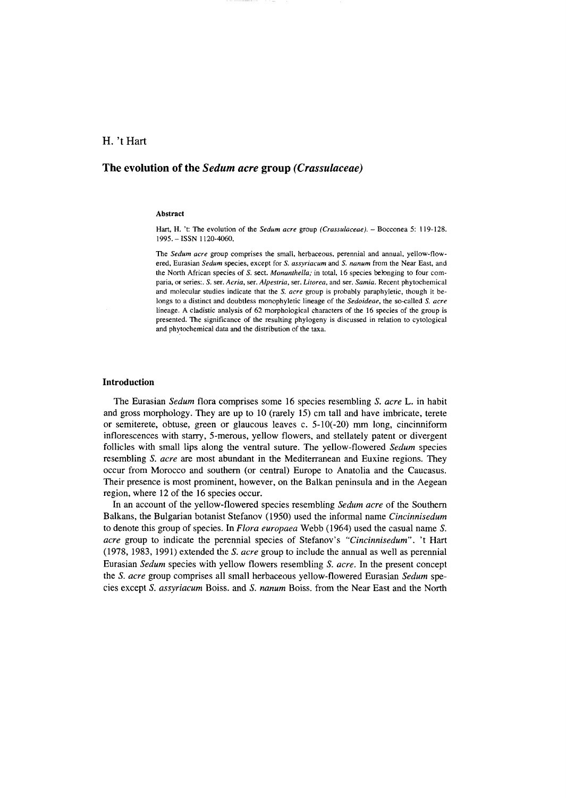# H. 't Hart

# **The evolution of the** *Sedum acre* **group** *(Crassulaceae)*

#### Abstract

Hart, H. 't: The evolution of the *Sedum acre* group *(Crassulaceae).* - Bocconea 5: 119-128. 1995. - ISSN 1120-4060.

The *Sedum acre* group comprises the small, herbaceous, perennial and annual, yellow-flowered, Eurasian *Sedum* species, except for S. *assyriacum* and S. *nanum* from the Near East, and the North African species of S. sect. *Monanthella;* in total, 16 species belonging to four comparia, or series:. S. ser. *Acria,* ser. *Alpestria,* ser. *Litorea,* and ser. *Samia.* Recent phytochemical and molecular studies indicate that the S. *acre* group is probably paraphyletic, though it belongs to a distinct and doubtless monophyletic lineage of the *Sedoideae,* the so-called S. *acre*  lineage. A cladistic analysis of 62 morphological characters of the 16 species of the group is presented. The significance of the resulting phylogeny is discussed in relation to cytological and phytochemical data and the distribution of the taxa.

### Introduction

The Eurasian *Sedum* flora comprises some 16 species resembling S. *acre* L. in habit and gross morphology. They are up to lO (rarely 15) cm tall and have imbricate, terete or semiterete, obtuse, green or glaucous leaves c. 5-10(-20) mm long, cincinniform inflorescences with starry, 5-merous, yellow flowers, and stellately patent or divergent follicles with small lips along the ventral suture. The yellow-flowered *Sedum* species resembling S. *acre* are most abundant in the Mediterranean and Euxine regions. They occur from Morocco and southem (or centraI) Europe to Anatolia and the Caucasus. Their presence is most prominent, however, on the Balkan peninsula and in the Aegean region, where 12 of the 16 species occur.

In an account of the yellow-flowered species resembling *Sedum acre* of the Southem Balkans, the Bulgarian botanist Stefanov (1950) used the informaI name *Cincinnisedum*  to denote this group of species. In *Flora europaea* Webb (1964) used the casual name S. *acre* group to indicate the perennial species of Stefanov's *"Cincinnisedum".* 't Hart (1978, 1983, 1991) extended the S. *acre* group to include the annual as well as perennial Eurasian *Sedum* species with yellow flowers resembling S. *acre.* In the present concept the S. *acre* group comprises all small herbaceous yellow-flowered Eurasian *Sedum* species except S. *assyriacum* Boiss. and S. *nanum* Boiss. from the Near East and the North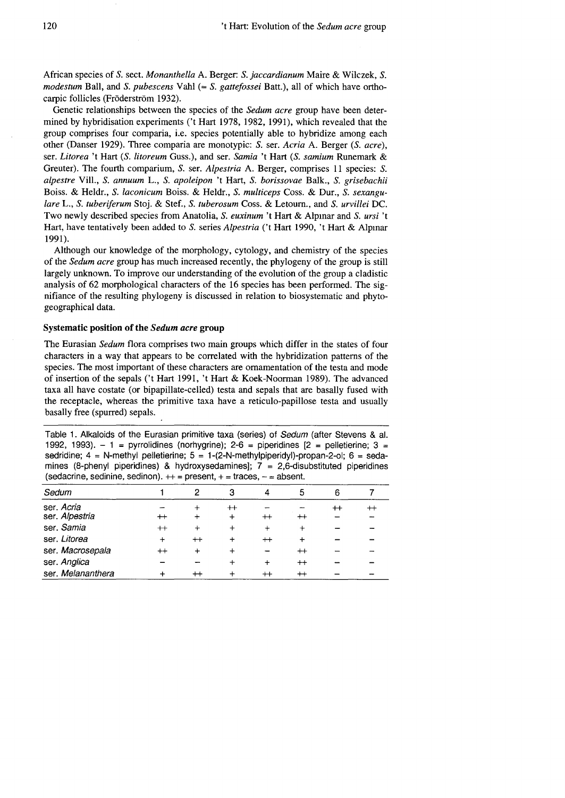African species of S. sect. *Monanthella* A. Berger: S. *jaccardianum* Maire & Wilczek, S. *modestum* Ball, and S. *pubescens* Vahi (= S. *gattefossei* Batt.), all of which have orthocarpic follicles (Fröderström 1932).

Genetic relationships between the species of the *Sedum acre* group have been determined by hybridisation experiments *Ct* Hart 1978, 1982, 1991), which revealed that the group comprises four comparia, i.e. species potentially able to hybridize among each other (Danser 1929). Three comparia are monotypic: S. ser. *Acria* A. Berger *(S. acre),*  ser. *Litorea* 't Hart *(S. litoreum* Guss.), and ser. *Samia* 't Hart *(S. samium* Runemark & Greuter). The fourth comparium, S. ser. *Alpestria* A. Berger, comprises Il species: S. *alpestre* VilI., S. *annuum* L., S. *apoleipon* 't Hart, S. *borissovae* Balk., S. *grisebachii*  Boiss. & Heldr., S. *laconicum* Boiss. & Heldr., S. *multiceps* Coss. & Dur., S. *sexangulare L., S. tuberiferum Stoj. & Stef., S. tuberosum Coss. & Letourn., and S. urvillei DC.* Two newly described species from Anatolia, S. *euxinum* 't Hart & Alpmar and S. *ursi* 't Hart, have tentatively been added to S. series *Alpestria* ('t Hart 1990, 't Hart & Alpmar 1991).

Although our knowledge of the morphology, cytology, and chemistry of the species of the *Sedum acre* group has much increased recently, the phylogeny of the group is stilI largely unknown. To improve our understanding of the evolution of the group a cladistic analysis of 62 morphological characters of the 16 species has been performed. The signifiance of the resulting phylogeny is discussed in relation to biosystematic and phytogeographical data.

# Systematic position of the *Sedum acre* group

The Eurasian *Sedum* flora comprises two main groups which differ in the states of four characters in a way that appears to be correlated with the hybridization pattems of the species. The most important of these characters are omamentation of the testa and mode of insertion of the sepals ('t Hart 1991, 't Hart & Koek-Noorman 1989). The advanced taxa all have costate (or bipapilIate-celled) testa and sepals that are basally fused with the receptacle, whereas the primitive taxa have a reticulo-papilIose testa and usually basally free (spurred) sepals.

Table 1. Alkaloids of the Eurasian primitive taxa (series) of Sedum (after Stevens & al. 1992, 1993).  $-1$  = pyrrolidines (norhygrine); 2-6 = piperidines  $[2$  = pelletierine; 3 = sedridine;  $4 = N$ -methyl pelletierine;  $5 = 1$ -(2-N-methylpiperidyl)-propan-2-ol;  $6 = \text{seda}$ mines (8-phenyl piperidines) & hydroxysedamines];  $7 = 2,6$ -disubstituted piperidines (sedacrine, sedinine, sedinon).  $++$  = present,  $+$  = traces,  $-$  = absent.

| Sedum             |                 | 2               | З           | 4          | 5            | 6          |  |
|-------------------|-----------------|-----------------|-------------|------------|--------------|------------|--|
| ser. Acria        |                 |                 | $^{\rm ++}$ |            |              | $^{\rm +}$ |  |
| ser. Alpestria    | $^{\mathrm{+}}$ |                 |             | $^+$       | $^{\rm ++}$  |            |  |
| ser. Samia        | $^{\mathrm{+}}$ |                 |             | $\ddot{}$  | $\mathrm{+}$ |            |  |
| ser. Litorea      |                 | $^{\mathrm{+}}$ |             | $^{++}$    |              |            |  |
| ser. Macrosepala  | $^{\rm ++}$     |                 |             |            | $^+$         |            |  |
| ser. Anglica      |                 |                 |             | $\div$     | $^{++}$      |            |  |
| ser. Melananthera |                 |                 |             | $^{\rm +}$ | $^{+}$       |            |  |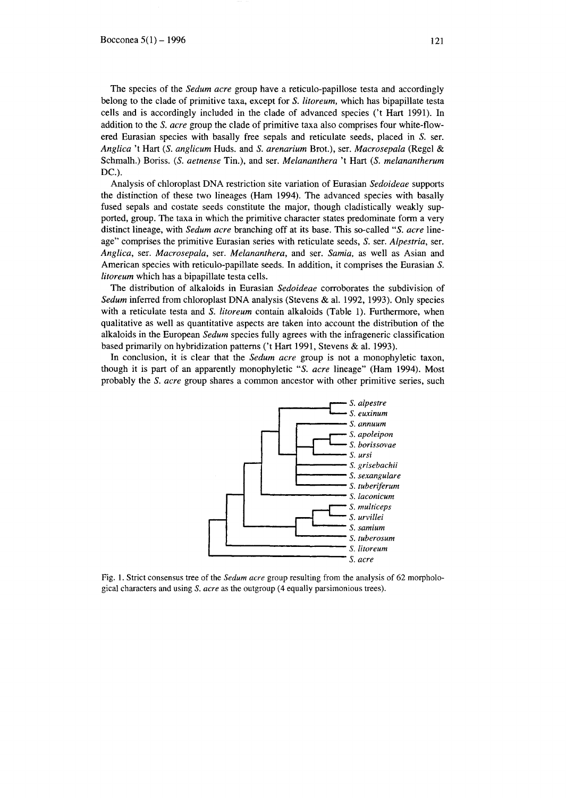The species of the *Sedum acre* group have a reticulo-papillose testa and accordingly belong to the clade of primitive taxa, except for S. *litoreum,* which has bipapillate testa cells and is accordingly included in the clade of advanced species *Ct* Hart 1991). In addition to the S. *acre* group the clade of primitive taxa also comprises four white-flowered Eurasian species with basally free sepals and reticulate seeds, placed in S. ser. *Anglica* 't Hart *(S. anglicum* Huds. and S. *arenarium* Brot.), ser. *Macrosepala* (Regel & Schmalh.) Boriss. *(S. aetnense* Tin.), and ser. *Melananthera* 't Hart *(S. melanantherum*  DC.).

Analysis of chloroplast DNA restriction site variation of Eurasian *Sedoideae* supports the distinction of these two lineages (Ham 1994). The advanced species with basally fused sepals and costate seeds constitute the major, though cladistically weakly supported, group. The taxa in which the primitive character states predominate form a very distinct lineage, with *Sedum acre* branching off at its base. This so-called *"S. acre* lineage" comprises the primitive Eurasian series with reticulate seeds, S. ser. *Alpestria,* ser. *Anglica,* ser. *Macrosepala,* ser. *Melananthera,* and ser. *Samia,* as well as Asian and American species with reticulo-papillate seeds. In addition, it comprises the Eurasian S. *litoreum* which has a bipapillate testa cells.

The distribution of alkaloids in Eurasian *Sedoideae* corroborates the subdivision of *Sedum* inferred from chloroplast DNA analysis (Stevens & al. 1992, 1993). Only species with a reticulate testa and S. *litoreum* contain alkaloids (Table 1). Furthermore, when qualitative as well as quantitative aspects are taken into account the distribution of the alkaloids in the European *Sedum* species fully agrees with the infrageneric classification based primarily on hybridization patterns ('t Hart 1991, Stevens & al. 1993).

In conclusion, it is clear that the *Sedum acre* group is not a monophyletic taxon, though it is part of an apparently monophyletic *"S. acre* lineage" (Ham 1994). Most probably the S. *acre* group shares a common ancestor with other primitive series, such



Fig. 1. Strict consensus tree of the *Sedum acre* group resulting from the analysis of 62 morphological characters and using S. *acre* as the outgroup (4 equally parsimonious trees).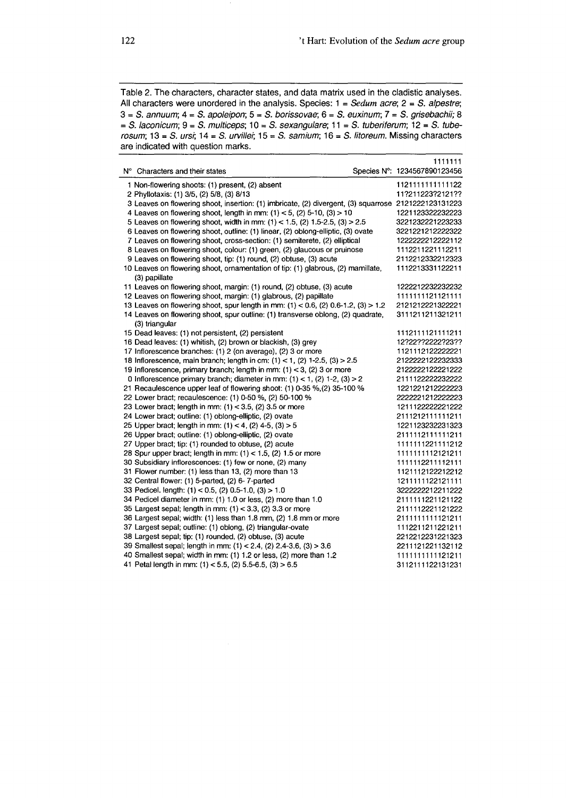Table 2. The characters, character states, and data matrix used in the cladistic analyses. All characters were unordered in the analysis. Species:  $1 = Sedum$  acre;  $2 = S$ . alpestre;  $3 = S$ . annuum;  $4 = S$ . apoleipon;  $5 = S$ . borissovae;  $6 = S$ . euxinum;  $7 = S$ . grisebachii; 8  $= S.$  laconicum;  $9 = S.$  multiceps;  $10 = S.$  sexangulare;  $11 = S.$  tuberiferum;  $12 = S.$  tuberosum;  $13 = S$ . ursi;  $14 = S$ . urvillei;  $15 = S$ . samium;  $16 = S$ . litoreum. Missing characters are indicated with question marks.

|                                                                                                      | 1111111                      |
|------------------------------------------------------------------------------------------------------|------------------------------|
| N° Characters and their states                                                                       | Species N°: 1234567890123456 |
| 1 Non-flowering shoots: (1) present, (2) absent                                                      | 1121111111111122             |
| 2 Phyllotaxis: (1) 3/5, (2) 5/8, (3) 8/13                                                            | 11?211223?2121??             |
| 3 Leaves on flowering shoot, insertion: (1) imbricate, (2) divergent, (3) squarrose 2121222123131223 |                              |
| 4 Leaves on flowering shoot, length in mm: $(1)$ < 5, $(2)$ 5-10, $(3)$ > 10                         | 1221123322232223             |
| 5 Leaves on flowering shoot, width in mm: (1) < 1.5, (2) 1.5-2.5, (3) > 2.5                          | 3221232221223233             |
| 6 Leaves on flowering shoot, outline: (1) linear, (2) oblong-elliptic, (3) ovate                     | 3221221212222322             |
| 7 Leaves on flowering shoot, cross-section: (1) semiterete, (2) elliptical                           | 1222222212222112             |
| 8 Leaves on flowering shoot, colour: (1) green, (2) glaucous or pruinose                             | 1112211221112211             |
| 9 Leaves on flowering shoot, tip: (1) round, (2) obtuse, (3) acute                                   | 2112212332212323             |
| 10 Leaves on flowering shoot, ornamentation of tip: (1) glabrous, (2) mamillate,<br>(3) papillate    | 1112213331122211             |
| 11 Leaves on flowering shoot, margin: (1) round, (2) obtuse, (3) acute                               | 1222212232232232             |
| 12 Leaves on flowering shoot, margin: (1) glabrous, (2) papillate                                    | 1111111121121111             |
| 13 Leaves on flowering shoot, spur length in mm: $(1) < 0.6$ , $(2)$ 0.6-1.2, $(3) > 1.2$            | 2121212221322221             |
| 14 Leaves on flowering shoot, spur outline: (1) transverse oblong, (2) quadrate,                     | 3111211211321211             |
| (3) triangular                                                                                       |                              |
| 15 Dead leaves: (1) not persistent, (2) persistent                                                   | 1112111121111211             |
| 16 Dead leaves: (1) whitish, (2) brown or blackish, (3) grey                                         | 12?22??2222?23??             |
| 17 Inflorescence branches: (1) 2 (on average), (2) 3 or more                                         | 1121112122222221             |
| 18 Inflorescence, main branch; length in cm: $(1)$ < 1, $(2)$ 1-2.5, $(3)$ > 2.5                     | 2122222122232333             |
| 19 Inflorescence, primary branch; length in mm: $(1) < 3$ , $(2)$ 3 or more                          | 2122222122221222             |
| 0 Inflorescence primary branch; diameter in mm: $(1)$ < 1, $(2)$ 1-2, $(3)$ > 2                      | 2111122222232222             |
| 21 Recaulescence upper leaf of flowering shoot: (1) 0-35 %, (2) 35-100 %                             | 1221221212222223             |
| 22 Lower bract; recaulescence: (1) 0-50 %, (2) 50-100 %                                              | 22222212122222223            |
| 23 Lower bract; length in mm: $(1)$ < 3.5, $(2)$ 3.5 or more                                         | 1211122222221222             |
| 24 Lower bract; outline: (1) oblong-elliptic, (2) ovate                                              | 2111212111111211             |
| 25 Upper bract; length in mm: $(1) < 4$ , $(2)$ 4-5, $(3) > 5$                                       | 1221123232231323             |
| 26 Upper bract; outline: (1) oblong-elliptic, (2) ovate                                              | 2111112111111211             |
| 27 Upper bract; tip: (1) rounded to obtuse, (2) acute                                                | 1111111221111212             |
| 28 Spur upper bract; length in mm: $(1)$ < 1.5, $(2)$ 1.5 or more                                    | 1111111112121211             |
| 30 Subsidiary inflorescences: (1) few or none, (2) many                                              | 1111112211112111             |
| 31 Flower number: (1) less than 13, (2) more than 13                                                 | 1121112122212212             |
| 32 Central flower: (1) 5-parted, (2) 6-7-parted                                                      | 1211111122121111             |
| 33 Pedicel. length: (1) < 0.5, (2) 0.5-1.0, (3) > 1.0                                                | 3222222212211222             |
| 34 Pedicel diameter in mm: (1) 1.0 or less, (2) more than 1.0                                        | 2111111221121122             |
| 35 Largest sepal; length in mm: (1) < 3.3, (2) 3.3 or more                                           | 2111112221121222             |
| 36 Largest sepal; width: (1) less than 1.8 mm, (2) 1.8 mm or more                                    | 211111111121211              |
| 37 Largest sepal; outline: (1) oblong, (2) triangular-ovate                                          | 1112211211221211             |
| 38 Largest sepal; tip: (1) rounded, (2) obtuse, (3) acute                                            | 2212212231221323             |
| 39 Smallest sepal; length in mm: (1) < 2.4, (2) 2.4-3.6, (3) > 3.6                                   | 2211121221132112             |
| 40 Smallest sepal; width in mm: (1) 1.2 or less, (2) more than 1.2                                   | 1111111111121211             |
| 41 Petal length in mm: $(1)$ < 5.5, $(2)$ 5.5-6.5, $(3)$ > 6.5                                       | 3112111122131231             |
|                                                                                                      |                              |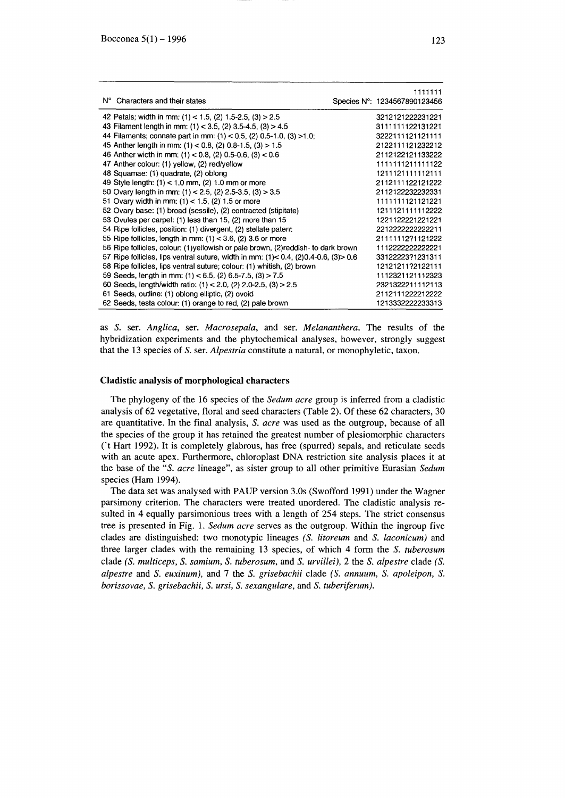|                                                                                                 | 1111111                      |
|-------------------------------------------------------------------------------------------------|------------------------------|
| N° Characters and their states                                                                  | Species N°: 1234567890123456 |
| 42 Petals; width in mm; $(1)$ < 1.5, $(2)$ 1.5-2.5, $(3)$ > 2.5                                 | 3212121222231221             |
| 43 Filament length in mm: $(1)$ < 3.5, $(2)$ 3.5-4.5, $(3)$ > 4.5                               | 3111111122131221             |
| 44 Filaments; connate part in mm: $(1)$ < 0.5, $(2)$ 0.5-1.0, $(3)$ >1.0;                       | 3222111121121111             |
| 45 Anther length in mm: $(1)$ < 0.8, $(2)$ 0.8-1.5, $(3)$ > 1.5                                 | 2122111121232212             |
| 46 Anther width in mm: $(1) < 0.8$ , $(2)$ 0.5-0.6, $(3) < 0.6$                                 | 2112122121133222             |
| 47 Anther colour: (1) yellow, (2) red/yellow                                                    | 1111111211111122             |
| 48 Squamae: (1) quadrate, (2) oblong                                                            | 1211121111112111             |
| 49 Style length: (1) < 1.0 mm, (2) 1.0 mm or more                                               | 2112111122121222             |
| 50 Ovary length in mm: $(1)$ < 2.5, $(2)$ 2.5-3.5, $(3)$ > 3.5                                  | 2112122232232331             |
| 51 Ovary width in mm; $(1)$ < 1.5, $(2)$ 1.5 or more                                            | 1111111121121221             |
| 52 Ovary base: (1) broad (sessile), (2) contracted (stipitate)                                  | 1211121111112222             |
| 53 Ovules per carpel: (1) less than 15, (2) more than 15                                        | 1221122221221221             |
| 54 Ripe follicles, position: (1) divergent, (2) stellate patent                                 | 2212222222222211             |
| 55 Ripe follicles, length in mm: $(1)$ < 3.6, $(2)$ 3.6 or more                                 | 21111112?1121222             |
| 56 Ripe follicles, colour: (1) yellowish or pale brown, (2) reddish- to dark brown              | 1112222222222221             |
| 57 Ripe follicles, lips ventral suture, width in mm: $(1) < 0.4$ , $(2)0.4 - 0.6$ , $(3) > 0.6$ | 33122223?1231311             |
| 58 Ripe follicles, lips ventral suture; colour: (1) whitish, (2) brown                          | 12121211?2122111             |
| 59 Seeds, length in mm: $(1) < 6.5$ , $(2) 6.5$ -7.5, $(3) > 7.5$                               | 1112321121112323             |
| 60 Seeds, length/width ratio: $(1)$ < 2.0, $(2)$ 2.0-2.5, $(3)$ > 2.5                           | 2321322211112113             |
| 61 Seeds, outline: (1) oblong elliptic, (2) ovoid                                               | 2112111222212222             |
| 62 Seeds, testa colour: (1) orange to red, (2) pale brown                                       | 1213332222233313             |

as S. ser. *Anglica,* ser. *Macrosepala,* and ser. *Melananthera.* The results of the hybridization experiments and the phytochemical analyses, however, strongly suggest that the 13 species of S. ser. *Alpestria* constitute a natural, or monophyletic, taxon.

#### **Cladistic analysis or morphological characters**

The phylogeny of the 16 species of the *Sedum acre* group is inferred from a c1adistic analysis of 62 vegetative, floral and seed characters (Table 2). Of these 62 characters, 30 are quantitative. **In** the final analysis, S. *acre* was used as the outgroup, because of alI the species of the group it has retained the greatest number of plesiomorphic characters ('t Hart 1992). It is completely glabrous, has free (spurred) sepals, and reticulate seeds with an acute apex. Furthermore, chloroplast DNA restriction site analysis places it at the base of the *"S. acre* lineage", as sister group to alI other primitive Eurasian *Sedum*  species (Ham 1994).

The data set was analysed with PAUP version 3.0s (Swofford 1991) under the Wagner parsimony criterion. The characters were treated unordered. The c1adistic analysis resulted in 4 equalIy parsimonious trees with a length of 254 steps. The strict consensus tree is presented in Fig. 1. *Sedum acre* serves as the outgroup. Within the ingroup five c1ades are distinguished: two monotypic lineages *(S. litoreum* and S. *laconicum)* and three larger c1ades with the remaining 13 species, of which 4 form the S. *tuberosum*  cIade *(S. multiceps,* S. *samium,* S. *tuberosum,* and S. *urvillei),* 2 the S. *alpestre* cIade *(S. alpestre* and S. *euxinum),* and 7 the S. *grisebachii* c1ade *(S. annuum,* S. *apoleipon,* S. *borissovae,* S. *grisebachii,* S. *ursi,* S. *sexangulare,* and S. *tuberiferum).*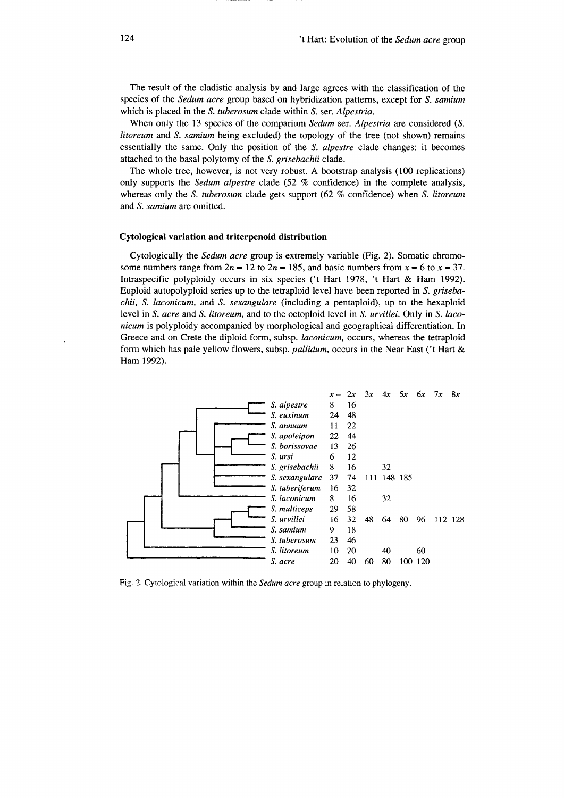The result of the cladistic analysis by and large agrees with the classification of the species of the *Sedum acre* group based on hybridization patterns, except for S. *samium*  which is placed in the S. *tuberosum* cIade within S. ser. *Alpestria.* 

When only the 13 species of thecomparium *Sedum* ser. *Alpestria* are considered *(S. litoreum* and S. *samium* being excIuded) the topology of the tree (not shown) remains essentially the same. Only the position of the S. *alpestre* cIade changes: it becomes attached to the basai polytomy of the S. *grisebachii* cIade.

The whole tree, however, is not very robust. A bootstrap analysis (100 replications) only supports the *Sedum alpestre* cIade (52 % confidence) in the complete analysis, whereas only the S. *tuberosum* cIade gets support (62 % confidence) when S. *litoreum*  and S. *samium* are omitted.

#### Cytological variation and triterpenoid distribution

Cytologically the *Sedum acre* group is extremely variable (Fig. 2). Somatic chromosome numbers range from  $2n = 12$  to  $2n = 185$ , and basic numbers from  $x = 6$  to  $x = 37$ . Intraspecific polyploidy occurs in six species ('t Hart 1978, 't Hart & Ham 1992). Euploid autopolyploid series up to the tetraploid 1evel have been reported in S. *grisebachii,* S. *laconicum,* and S. *sexangulare* (incIuding a pentaploid), up to the hexaploid level in S. *acre* and S. *litoreum,* and to the octoploid level in S. *urvillei.* Only in S. *laconicum* is polyp1oidy accompanied by morphological and geographical differentiation. In Greece and on Crete the diploid form, subsp. *laconicum,* occurs, whereas the tetraploid form which has pale yellow flowers, subsp. *pallidum*, occurs in the Near East ('t Hart & Ham 1992).



Fig. 2. Cytological variation within the *Sedum acre* group in relation to phylogeny.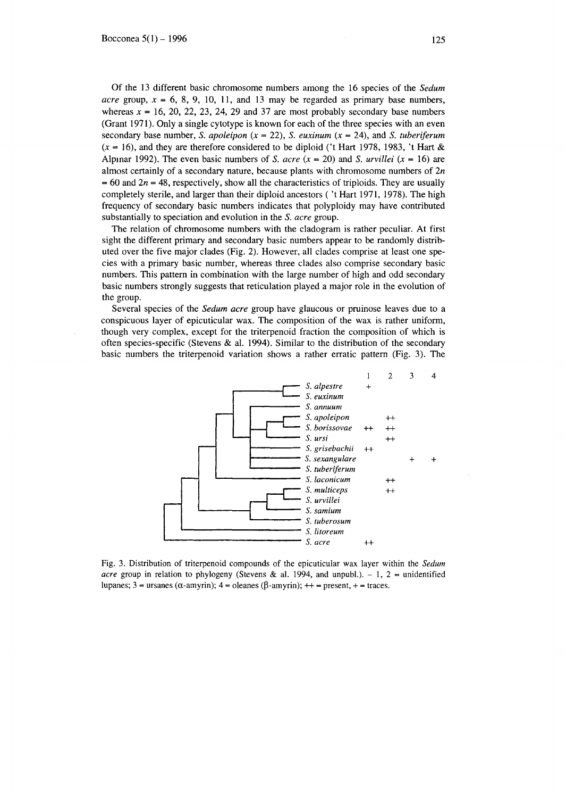Of the 13 different basic chromosome numbers among the 16 species of the *Sedum acre* group,  $x = 6, 8, 9, 10, 11,$  and 13 may be regarded as primary base numbers, whereas  $x = 16$ , 20, 22, 23, 24, 29 and 37 are most probably secondary base numbers (Grant 1971). Only a single cytotype is known for each of the three species with an even secondary base number, S. *apoleipon*  $(x = 22)$ , S. *euxinum*  $(x = 24)$ , and S. *tuberiferum*  $(x = 16)$ , and they are therefore considered to be diploid ('t Hart 1978, 1983, 't Hart & Alpmar 1992). The even basic numbers of S. *acre*  $(x = 20)$  and S. *urvillei*  $(x = 16)$  are almost certainly of a secondary nature, because plants with chromosome numbers of *2n*   $= 60$  and  $2n = 48$ , respectively, show all the characteristics of triploids. They are usually completely sterile, and larger than their diploid ancestors ( 't Hart 1971, 1978). The high frequency of secondary basic numbers indicates that polyploidy may have contributed substantialIy to speciation and evolution in the S. *acre* group.

The relation of chromosome numbers with the cladogram is rather peculiar. At first sight the different primary and secondary basic numbers appear to be randomly distributed over the five major clades (Fig. 2). However, alI clades comprise at least one species with a primary basic number, whereas three clades also comprise secondary basic numbers. This pattem in combination with the large number of high and odd secondary basic numbers strongly suggests that reticulation played a major role in the evolution of the group.

Several species of the *Sedum acre* group have glaucous or pruinose leaves due to a conspicuous layer of epicuticular wax. The composition of the wax is rather uniform, though very complex, except for the triterpenoid fraction the composition of which is often species-specific (Stevens & al. 1994). Similar to the distribution of the secondary basic numbers the triterpenoid variation shows a rather erratic pattem (Fig. 3). The



Fig. 3. Distribution of triterpenoid compounds of the epicuticular wax layer within the *Sedum acre* group in relation to phylogeny (Stevens & al. 1994, and unpubl.).  $-1$ ,  $2 =$  unidentified lupanes; 3 = ursanes ( $\alpha$ -amyrin); 4 = oleanes ( $\beta$ -amyrin); ++ = present, + = traces.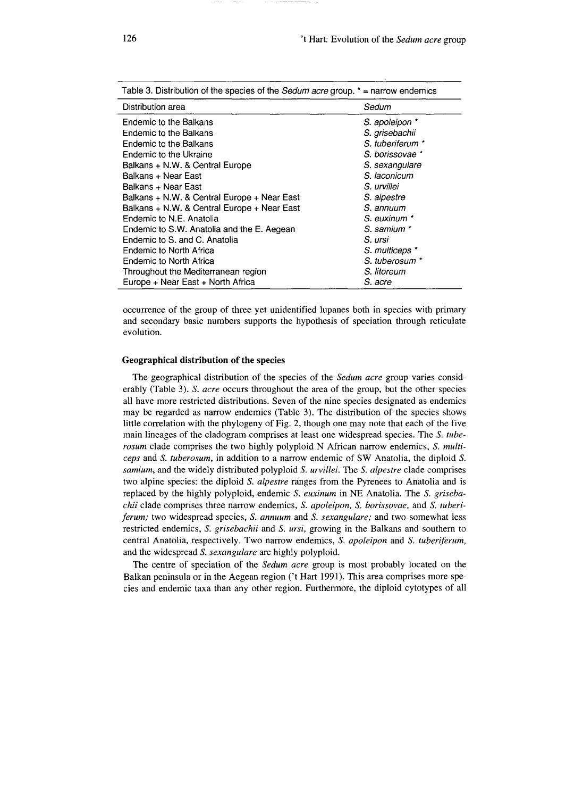| Table 3. Distribution of the species of the Sedum acre group. $* =$ narrow endemics |                  |  |
|-------------------------------------------------------------------------------------|------------------|--|
| Distribution area                                                                   | Sedum            |  |
| Endemic to the Balkans                                                              | S. apoleipon *   |  |
| Endemic to the Balkans                                                              | S. grisebachii   |  |
| Endemic to the Balkans                                                              | S. tuberiferum * |  |
| Endemic to the Ukraine                                                              | S. borissovae *  |  |
| Balkans + N.W. & Central Europe                                                     | S. sexangulare   |  |
| Balkans + Near East                                                                 | S. laconicum     |  |
| Balkans + Near East                                                                 | S. urvillei      |  |
| Balkans + N.W. & Central Europe + Near East                                         | S. alpestre      |  |
| Balkans + N.W. & Central Europe + Near East                                         | S. annuum        |  |
| Endemic to N.E. Anatolia                                                            | S. euxinum *     |  |
| Endemic to S.W. Anatolia and the E. Aegean                                          | S. samium *      |  |
| Endemic to S. and C. Anatolia                                                       | S. ursi          |  |
| Endemic to North Africa                                                             | S. multiceps *   |  |
| Endemic to North Africa                                                             | S. tuberosum *   |  |
| Throughout the Mediterranean region                                                 | S. litoreum      |  |
| Europe + Near East + North Africa                                                   | S. acre          |  |

oeeurrenee of the group of three yet unidentified lupanes both in speeies with primary and seeondary basie numbers supports the hypothesis of speeiation through retieulate evolution.

### **Geographical distribution or the** species

The geographieal distribution of the speeies of the *Sedum acre* group varies eonsiderably (Table 3). S. acre occurs throughout the area of the group, but the other species all have more restricted distributions. Seven of the nine speeies designated as endemies may be regarded as narrow endemies (Table 3). The distribution of the species shows little eorrelation with the phylogeny of Fig. 2, though one may note that eaeh of the five main lineages of the cladogram eomprises at least one widespread speeies. The S. *tuberosum* clade comprises the two highly polyploid N African narrow endemics, S. *multiceps* and S. *tuberosum,* in addition to a narrow endemie of SW Anatolia, the diploid S. *samium,* and the widely distributed polyploid S. *urvillei.* The S. *alpestre* clade eomprises two alpine species: the diploid S. *alpestre* ranges from the Pyrenees to Anatolia and is replaeed by the highly polyploid, endemie S. *euxinum* in NE Anatolia. The S. *grisebachii* clade comprises three narrow endemics, *S. apoleipon*, *S. borissovae*, and *S. tuberiferum;* two widespread species, S. *annuum* and S. *sexangulare;* and two somewhat less restrieted endemies, S. *grisebachii* and S. *ursi,* growing in the Balkans and southem to centraI Anatolia, respeetively. Two narrow endemies, S. *apoleipon* and S. *tuberiferum,*  and the widespread S. *sexangulare* are highly polyploid.

The centre of speciation of the *Sedum acre* group is most probably located on the Balkan peninsula or in the Aegean region *Ct* Hart 1991). This area eomprises more species and endemie taxa than any other region. Furthermore, the diploid eytotypes of all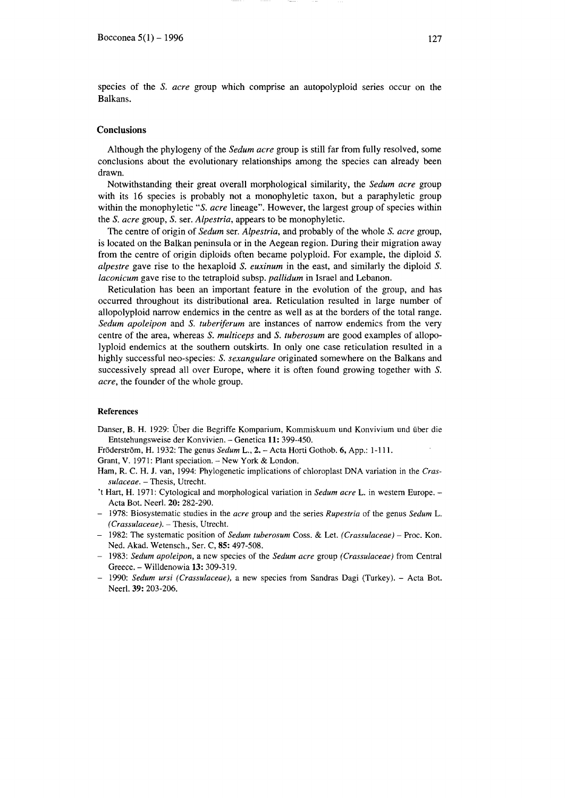species of the s. *acre* group which comprise an autopolyploid series occur on the Balkans.

# **Conclusions**

Although the phylogeny of the *Sedum acre* group is stilI far from fully resolved, some conclusions about the evolutionary relationships among the species can already been drawn.

Notwithstanding their great overall morphological similarity, the *Sedum acre* group with its 16 species is probably not a monophyletic taxon, but a paraphyletic group within the monophyletic "S. *acre* lineage". However, the largest group of species within the *S. acre* group, *S.* ser. *Alpestria*, appears to be monophyletic.

The centre of origin of *Sedum* ser. *Alpestria,* and probably of the whole S. *acre* group, is located on the Balkan peninsula or in the Aegean region. During their migration away from the centre of origin diploids often became polyploid. For example, the diploid S. *alpestre* gave rise to the hexaploid S. *euxinum* in the east, and similarly the diploid S. *laconicum* gave rise to the tetraploid subsp. *pallidum* in Israel and Lebanon.

Reticulation has been an important feature in the evolution of the group, and has occurred throughout its distributional area. Reticulation resulted in large number of allopolyploid narrow endemics in the centre as well as at the borders of the total range. *Sedum apoleipon and S. tuberiferum are instances of narrow endemics from the very* centre of the area, whereas *S. multiceps* and *S. tuberosum* are good examples of allopolyploid endemics at the southem outskirts. In only one case reticulation resulted in a highly successful neo-species: S. *sexangulare* originated somewhere on the Balkans and successively spread alI over Europe, where it is often found growing together with S. *acre,* the founder of the whole group.

### References

Danser, B. H. 1929: Uber die Begriffe Komparium, Kommiskuum und Konvivium und iiber die Entstehungsweise der Konvivien. - Genetica 11: 399-450.

FrOderstrom, H. 1932: The genus *Sedum* L., 2. - Acta Horti Gothob. 6, App.: 1-111.

Grant, V. 1971: Plant speciation. - New York & London.

- Ham, R. C. H. J. van, 1994: Phylogenetic implications of chloroplast DNA variation in the *Crassulaceae.* - Thesis, Utrecht.
- 't Hart, H. 1971: Cytological and morphological variation in *Sedum acre* L. in western Europe.- Acta Bot. Neerl. 20: 282-290.
- 1978: Biosystematic studies in the *acre* group and the series *Rupestria* of the genus *Sedum L. (Crassulaceae).* - Thesis, Utrecht.
- 1982: The systematic position of *Sedum tuberosum* Coss. & Let. *(Crassulaceae)* Proc. Kon. Ned. Akad. Wetensch., Ser. C, 85: 497-508.
- 1983: *Sedum apoleipon,* a new species of the *Sedum acre* group *(Crassulaceae)* from CentraI Greece. - Willdenowia 13: 309-319.
- 1990: *Sedum ursi (Crassulaceae),* a new species from Sandras Dagi (Turkey). Acta Bot. Neerl. 39: 203-206.